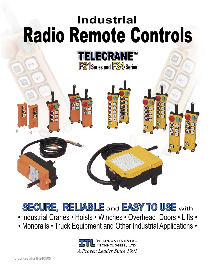# **Industrial** Radio Remote Controls



or

91

**SECURE, RELIABLE** and **EASY TO USE** with

- Industrial Cranes Hoists Winches Overhead Doors Lifts •
- Monorails Truck Equipment and Other Industrial Applications •

**INTERCONTINENTAL** TECHNOLOGIES, LTD *A Proven Leader Since 1991*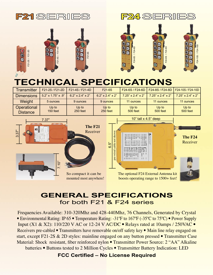



F21-2S / F21-2D

-2S / F21-2D

000











### **TECHNICAL SPECIFICATIONS**

| <b>Transmitter</b>             | F21-2S / F21-2D    | F21-4S / F21-4D     | F21-6S                    |                               |                            | F24-6S / F24-6D   F24-8S / F24-8D   F24-10S / F24-10D |
|--------------------------------|--------------------|---------------------|---------------------------|-------------------------------|----------------------------|-------------------------------------------------------|
| <b>Dimensions</b>              | 5.2" x 1.75" x .9" | $6.2$ " x 2.4" x 2" | $6.2$ " x $2.4$ " x $2$ " | $7.25" \times 2.4" \times 2"$ | $7.25$ " x $2.4$ " x $2$ " | $7.25'' \times 2.4'' \times 2''$                      |
| <b>Weight</b>                  | 5 ounces           | 9 ounces            | 9 ounces                  | 11 ounces                     | 11 ounces                  | 11 ounces                                             |
| Operational<br><b>Distance</b> | Up to<br>150 feet  | Up to<br>250 feet   | Up to<br>250 feet         | Up to<br>500 feet             | Up to<br>500 feet          | Up to<br>500 feet                                     |



#### **GENERAL SPECIFICATIONS** for both F21 & F24 series

Frequencies Available: 310-320Mhz and 428-440Mhz, 76 Channels, Generated by Crystal • Environmental Rating: IP 65 • Temperature Rating: -31°F to 167°F (-35°C to 75°C) • Power Supply Input (X1 & X2): 110/220 V AC or 12-24 V AC/DC • Relays rated at 10amps / 250VAC • Receivers pre-cabled • Transmitters have removable on/off safety key • Main line relay engaged on start, except F21-2S & 2D styles: mainline engaged on any button pressed • Transmitter Case Material: Shock resistant, fiber reinforced nylon • Transmitter Power Source: 2 "AA" Alkaline batteries • Buttons tested to 2 Million Cycles • Transmitter Battery Indication: LED

**FCC Certified – No License Required**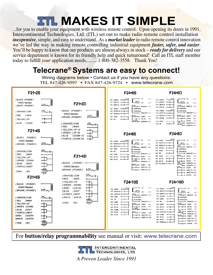## *ETL MAKES IT SIMPLE*

...for you to enable your equipment with wireless remote control. Upon opening its doors in 1991, Intercontinental Technologies, Ltd. (ITL) set out to make radio remote control installation *inexpensive*, simple, and easy to understand. As a *market leader* in radio remote control innovation we've led the way in making remote controlling industrial equipment *faster, safer, and easier*. You'll be happy to know that our products are almost always in stock – *ready for delivery* and our service department is known for its friendly help and quick turnaround! Call an ITL staff member today to fulfill *your* application needs..........1-800-382-3558. Thank You!

### **Telecrane® Systems are easy to connect!**

Wiring diagrams below • Contact us if you have any questions: TEL 847-426-9597 • FAX 847-426-9724 • www.telecrane.com



For **button/relay programmability** see manual or visit: www.telecrane.com

**INTERCONTINENTAL** TECHNOLOGIES, LTD *A Proven Leader Since 1991*